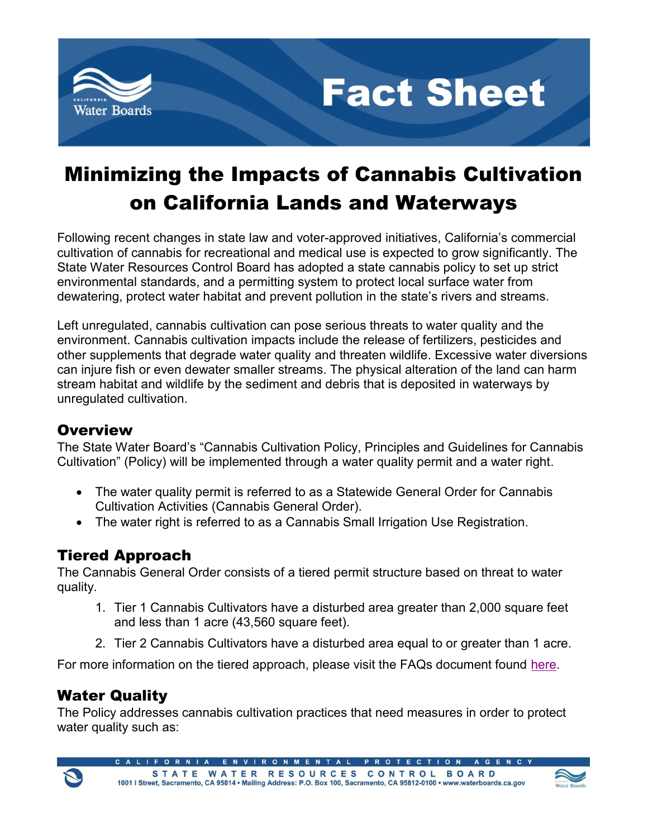



# Minimizing the Impacts of Cannabis Cultivation on California Lands and Waterways

Following recent changes in state law and voter-approved initiatives, California's commercial cultivation of cannabis for recreational and medical use is expected to grow significantly. The State Water Resources Control Board has adopted a state cannabis policy to set up strict environmental standards, and a permitting system to protect local surface water from dewatering, protect water habitat and prevent pollution in the state's rivers and streams.

Left unregulated, cannabis cultivation can pose serious threats to water quality and the environment. Cannabis cultivation impacts include the release of fertilizers, pesticides and other supplements that degrade water quality and threaten wildlife. Excessive water diversions can injure fish or even dewater smaller streams. The physical alteration of the land can harm stream habitat and wildlife by the sediment and debris that is deposited in waterways by unregulated cultivation.

## **Overview**

The State Water Board's "Cannabis Cultivation Policy, Principles and Guidelines for Cannabis Cultivation" (Policy) will be implemented through a water quality permit and a water right.

- The water quality permit is referred to as a Statewide General Order for Cannabis Cultivation Activities (Cannabis General Order).
- The water right is referred to as a Cannabis Small Irrigation Use Registration.

# Tiered Approach

The Cannabis General Order consists of a tiered permit structure based on threat to water quality.

- 1. Tier 1 Cannabis Cultivators have a disturbed area greater than 2,000 square feet and less than 1 acre (43,560 square feet).
- 2. Tier 2 Cannabis Cultivators have a disturbed area equal to or greater than 1 acre.

For more information on the tiered approach, please visit the FAQs document found here.

# Water Quality

 $\mathcal{L}$ 

The Policy addresses cannabis cultivation practices that need measures in order to protect water quality such as:

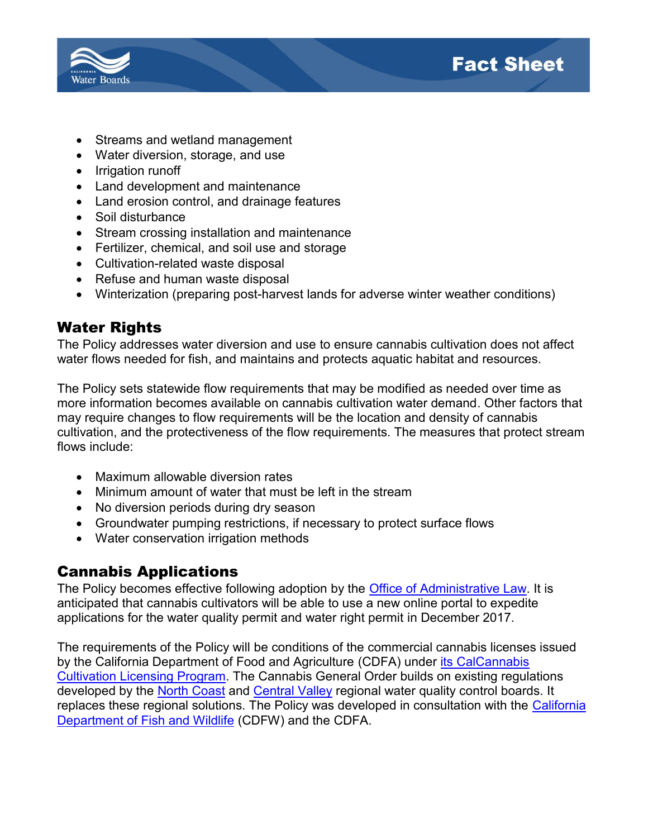

- Streams and wetland management
- Water diversion, storage, and use
- Irrigation runoff
- Land development and maintenance
- Land erosion control, and drainage features
- Soil disturbance
- Stream crossing installation and maintenance
- Fertilizer, chemical, and soil use and storage
- Cultivation-related waste disposal
- Refuse and human waste disposal
- Winterization (preparing post-harvest lands for adverse winter weather conditions)

**Fact Sheet** 

## Water Rights

The Policy addresses water diversion and use to ensure cannabis cultivation does not affect water flows needed for fish, and maintains and protects aquatic habitat and resources.

The Policy sets statewide flow requirements that may be modified as needed over time as more information becomes available on cannabis cultivation water demand. Other factors that may require changes to flow requirements will be the location and density of cannabis cultivation, and the protectiveness of the flow requirements. The measures that protect stream flows include:

- Maximum allowable diversion rates
- Minimum amount of water that must be left in the stream
- No diversion periods during dry season
- Groundwater pumping restrictions, if necessary to protect surface flows
- Water conservation irrigation methods

#### Cannabis Applications

The Policy becomes effective following adoption by the Office of Administrative Law. It is anticipated that cannabis cultivators will be able to use a new online portal to expedite applications for the water quality permit and water right permit in December 2017.

The requirements of the Policy will be conditions of the commercial cannabis licenses issued by the California Department of Food and Agriculture (CDFA) under its CalCannabis Cultivation Licensing Program. The Cannabis General Order builds on existing regulations developed by the North Coast and Central Valley regional water quality control boards. It replaces these regional solutions. The Policy was developed in consultation with the California Department of Fish and Wildlife (CDFW) and the CDFA.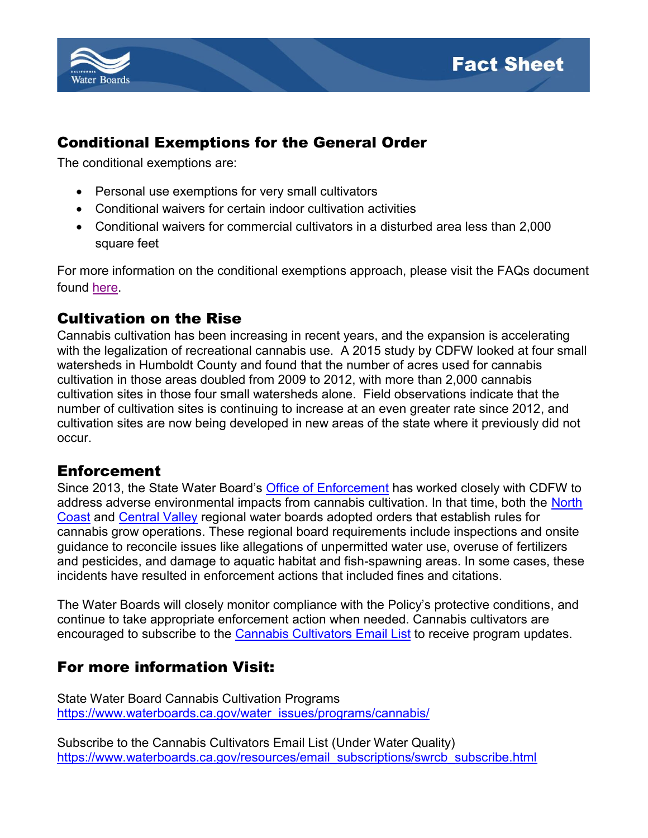



## Conditional Exemptions for the General Order

The conditional exemptions are:

- Personal use exemptions for very small cultivators
- Conditional waivers for certain indoor cultivation activities
- Conditional waivers for commercial cultivators in a disturbed area less than 2,000 square feet

For more information on the conditional exemptions approach, please visit the FAQs document found here.

#### Cultivation on the Rise

Cannabis cultivation has been increasing in recent years, and the expansion is accelerating with the legalization of recreational cannabis use. A 2015 study by CDFW looked at four small watersheds in Humboldt County and found that the number of acres used for cannabis cultivation in those areas doubled from 2009 to 2012, with more than 2,000 cannabis cultivation sites in those four small watersheds alone. Field observations indicate that the number of cultivation sites is continuing to increase at an even greater rate since 2012, and cultivation sites are now being developed in new areas of the state where it previously did not occur.

#### Enforcement

Since 2013, the State Water Board's Office of Enforcement has worked closely with CDFW to address adverse environmental impacts from cannabis cultivation. In that time, both the North Coast and Central Valley regional water boards adopted orders that establish rules for cannabis grow operations. These regional board requirements include inspections and onsite guidance to reconcile issues like allegations of unpermitted water use, overuse of fertilizers and pesticides, and damage to aquatic habitat and fish-spawning areas. In some cases, these incidents have resulted in enforcement actions that included fines and citations.

The Water Boards will closely monitor compliance with the Policy's protective conditions, and continue to take appropriate enforcement action when needed. Cannabis cultivators are encouraged to subscribe to the Cannabis Cultivators Email List to receive program updates.

#### For more information Visit:

State Water Board Cannabis Cultivation Programs https://www.waterboards.ca.gov/water\_issues/programs/cannabis/

Subscribe to the Cannabis Cultivators Email List (Under Water Quality) https://www.waterboards.ca.gov/resources/email\_subscriptions/swrcb\_subscribe.html